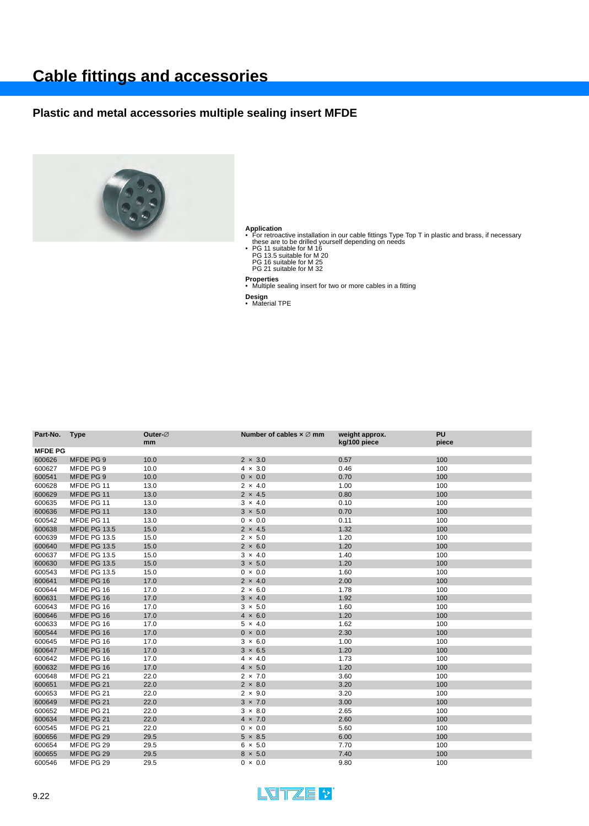# **Cable fittings and accessories**

### **Plastic and metal accessories multiple sealing insert MFDE**



Application<br>• For retroactive installation in our cable fittings Type Top T in plastic and brass, if necessary<br>• Hese are to be drilled yourself depending on needs<br>• PG 11 suitable for M 16<br>• PG 16 suitable for M 20<br>• PG 1

- 
- 
- 
- 

**Properties** • Multiple sealing insert for two or more cables in a fitting

**Design** • Material TPE

| <sub>mm</sub>               | Outer- $\varnothing$ | Number of cables $\times \varnothing$ mm | weight approx.<br>kg/100 piece                                                             | <b>PU</b><br>piece |
|-----------------------------|----------------------|------------------------------------------|--------------------------------------------------------------------------------------------|--------------------|
|                             |                      |                                          |                                                                                            |                    |
| MFDE PG 9<br>10.0           |                      | $2 \times 3.0$                           | 0.57                                                                                       | 100                |
| MFDE PG 9<br>10.0           |                      | $4 \times 3.0$                           | 0.46                                                                                       | 100                |
| MFDE PG 9<br>10.0           |                      | $0 \times 0.0$                           | 0.70                                                                                       | 100                |
| MFDE PG 11<br>13.0          |                      | $2 \times 4.0$                           | 1.00                                                                                       | 100                |
| MFDE PG 11<br>13.0          |                      | $2 \times 4.5$                           | 0.80                                                                                       | 100                |
| MFDE PG 11<br>13.0          |                      | $3 \times 4.0$                           | 0.10                                                                                       | 100                |
| MFDE PG 11<br>13.0          |                      | $3 \times 5.0$                           | 0.70                                                                                       | 100                |
| MFDE PG 11<br>13.0          |                      | $0 \times 0.0$                           | 0.11                                                                                       | 100                |
| <b>MFDE PG 13.5</b><br>15.0 |                      | $2 \times 4.5$                           | 1.32                                                                                       | 100                |
| <b>MFDE PG 13.5</b><br>15.0 |                      | $2 \times 5.0$                           | 1.20                                                                                       | 100                |
| 15.0<br><b>MFDE PG 13.5</b> |                      | $2 \times 6.0$                           | 1.20                                                                                       | 100                |
| <b>MFDE PG 13.5</b><br>15.0 |                      | $3 \times 4.0$                           | 1.40                                                                                       | 100                |
| <b>MFDE PG 13.5</b><br>15.0 |                      | $3 \times 5.0$                           | 1.20                                                                                       | 100                |
| <b>MFDE PG 13.5</b><br>15.0 |                      | $0 \times 0.0$                           | 1.60                                                                                       | 100                |
| MFDE PG 16<br>17.0          |                      | $2 \times 4.0$                           | 2.00                                                                                       | 100                |
| 17.0<br>MFDE PG 16          |                      | $2 \times 6.0$                           | 1.78                                                                                       | 100                |
| MFDE PG 16<br>17.0          |                      | $3 \times 4.0$                           | 1.92                                                                                       | 100                |
| 17.0<br>MFDE PG 16          |                      | $3 \times 5.0$                           | 1.60                                                                                       | 100                |
| MFDE PG 16<br>17.0          |                      | $4 \times 6.0$                           | 1.20                                                                                       | 100                |
| MFDE PG 16<br>17.0          |                      | $5 \times 4.0$                           | 1.62                                                                                       | 100                |
| MFDE PG 16<br>17.0          |                      | $0 \times 0.0$                           | 2.30                                                                                       | 100                |
| MFDE PG 16<br>17.0          |                      | $3 \times 6.0$                           | 1.00                                                                                       | 100                |
| MFDE PG 16<br>17.0          |                      | $3 \times 6.5$                           | 1.20                                                                                       | 100                |
| MFDE PG 16<br>17.0          |                      | $4 \times 4.0$                           | 1.73                                                                                       | 100                |
| MFDE PG 16<br>17.0          |                      | $4 \times 5.0$                           | 1.20                                                                                       | 100                |
| MFDE PG 21<br>22.0          |                      | $2 \times 7.0$                           | 3.60                                                                                       | 100                |
| MFDE PG 21<br>22.0          |                      | $2 \times 8.0$                           | 3.20                                                                                       | 100                |
| MFDE PG 21<br>22.0          |                      | $2 \times 9.0$                           | 3.20                                                                                       | 100                |
| MFDE PG 21<br>22.0          |                      | $3 \times 7.0$                           | 3.00                                                                                       | 100                |
| MFDE PG 21<br>22.0          |                      | $3 \times 8.0$                           | 2.65                                                                                       | 100                |
| MFDE PG 21<br>22.0          |                      | $4 \times 7.0$                           | 2.60                                                                                       | 100                |
| MFDE PG 21<br>22.0          |                      | $0 \times 0.0$                           | 5.60                                                                                       | 100                |
| MFDE PG 29                  |                      |                                          | 6.00                                                                                       | 100                |
| MFDE PG 29                  |                      |                                          | 7.70                                                                                       | 100                |
| MFDE PG 29                  |                      |                                          | 7.40                                                                                       | 100                |
|                             |                      | 29.5<br>29.5<br>29.5                     | $5 \times 8.5$<br>$6 \times 5.0$<br>$8 \times 5.0$<br>MFDE PG 29<br>29.5<br>$0 \times 0.0$ | 9.80               |